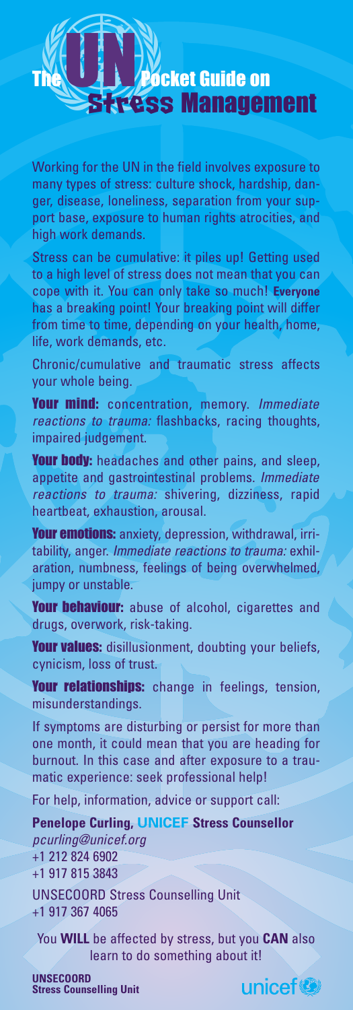

Working for the UN in the field involves exposure to many types of stress: culture shock, hardship, danger, disease, loneliness, separation from your support base, exposure to human rights atrocities, and high work demands.

Stress can be cumulative: it piles up! Getting used to a high level of stress does not mean that you can cope with it. You can only take so much! **Everyone** has a breaking point! Your breaking point will differ from time to time, depending on your health, home, life, work demands, etc.

Chronic/cumulative and traumatic stress affects your whole being.

Your mind: concentration, memory. *Immediate reactions to trauma:* flashbacks, racing thoughts, impaired judgement.

**Your body:** headaches and other pains, and sleep, appetite and gastrointestinal problems. *Immediate reactions to trauma:* shivering, dizziness, rapid heartbeat, exhaustion, arousal.

Your emotions: anxiety, depression, withdrawal, irritability, anger. *Immediate reactions to trauma:* exhilaration, numbness, feelings of being overwhelmed, jumpy or unstable.

Your behaviour: abuse of alcohol, cigarettes and drugs, overwork, risk-taking.

Your values: disillusionment, doubting your beliefs, cynicism, loss of trust.

Your relationships: change in feelings, tension, misunderstandings.

If symptoms are disturbing or persist for more than one month, it could mean that you are heading for burnout. In this case and after exposure to a traumatic experience: seek professional help!

For help, information, advice or support call:

**Penelope Curling, UNICEF Stress Counsellor** *pcurling@unicef.org* +1 212 824 6902 +1 917 815 3843

UNSECOORD Stress Counselling Unit +1 917 367 4065

You **WILL** be affected by stress, but you **CAN** also learn to do something about it!

**UNSECOORD Stress Counselling Unit**

unicef<sup>®</sup>